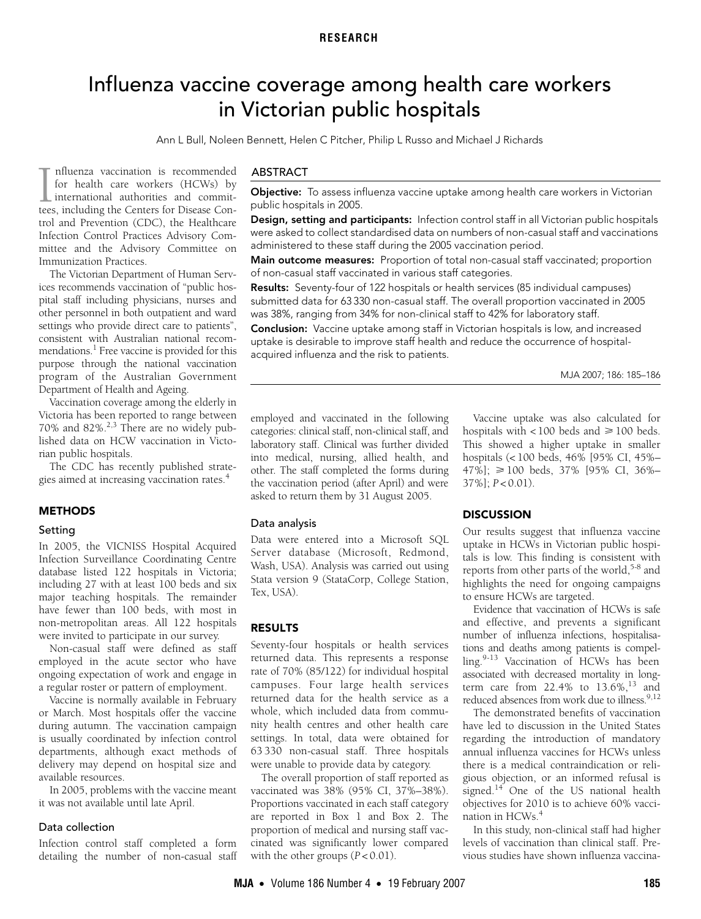# <span id="page-0-0"></span>Influenza vaccine coverage among health care workers in Victorian public hospitals

Ann L Bull, Noleen Bennett, Helen C Pitcher, Philip L Russo and Michael J Richards

nfluenza vaccination is recommended for health care workers (HCWs) by international authorities and commit-Influenza vaccination is recommended<br>for health care workers (HCWs) by<br>international authorities and commit-<br>tees, including the Centers for Disease Control and Prevention (CDC), the Healthcare Infection Control Practices Advisory Committee and the Advisory Committee on Immunization Practices.

mamzation Tractices.<br>The Victorian Department of Human [Serv](#page-0-0)ice veconal expansion of training serv[ices recom](#page-1-10)mends vaccination of "public hos- $\frac{1}{2}$ pital staff including physicians, nurses and other personnel in both outpatient and ward settings who provide direct care to patients", consistent with Australian national recom-mendations.<sup>[1](#page-1-0)</sup> Free vaccine is provided for this purpose through the national vaccination program of the Australian Government Department of Health and Ageing.

Vaccination coverage among the elderly in Victoria has been reported to range between 70% and 82%.[2](#page-1-1),[3](#page-1-2) There are no widely published data on HCW vaccination in Victorian public hospitals.

The CDC has recently published strate-gies aimed at increasing vaccination rates.<sup>[4](#page-1-3)</sup>

# METHODS

#### Setting

In 2005, the VICNISS Hospital Acquired Infection Surveillance Coordinating Centre database listed 122 hospitals in Victoria; including 27 with at least 100 beds and six major teaching hospitals. The remainder have fewer than 100 beds, with most in non-metropolitan areas. All 122 hospitals were invited to participate in our survey.

Non-casual staff were defined as staff employed in the acute sector who have ongoing expectation of work and engage in a regular roster or pattern of employment.

Vaccine is normally available in February or March. Most hospitals offer the vaccine during autumn. The vaccination campaign is usually coordinated by infection control departments, although exact methods of delivery may depend on hospital size and available resources.

In 2005, problems with the vaccine meant it was not available until late April.

## Data collection

Infection control staff completed a form detailing the number of non-casual staff

# ABSTRACT

Objective: To assess influenza vaccine uptake among health care workers in Victorian public hospitals in 2005.

Design, setting and participants: Infection control staff in all Victorian public hospitals were asked to collect standardised data on numbers of non-casual staff and vaccinations administered to these staff during the 2005 vaccination period.

Main outcome measures: Proportion of total non-casual staff vaccinated; proportion of non-casual staff vaccinated in various staff categories.

Results: Seventy-four of 122 hospitals or health services (85 individual campuses) submitted data for 63 330 non-casual staff. The overall proportion vaccinated in 2005 was 38%, ranging from 34% for non-clinical staff to 42% for laboratory staff.

Conclusion: Vaccine uptake among staff in Victorian hospitals is low, and increased uptake is desirable to improve staff health and reduce the occurrence of hospitalacquired influenza and the risk to patients.

MJA 2007; 186: 185–186

employed and vaccinated in the following categories: clinical staff, non-clinical staff, and laboratory staff. Clinical was further divided into medical, nursing, allied health, and other. The staff completed the forms during the vaccination period (after April) and were asked to return them by 31 August 2005.

#### Data analysis

Data were entered into a Microsoft SQL Server database (Microsoft, Redmond, Wash, USA). Analysis was carried out using Stata version 9 (StataCorp, College Station, Tex, USA).

#### RESULTS

Seventy-four hospitals or health services returned data. This represents a response rate of 70% (85/122) for individual hospital campuses. Four large health services returned data for the health service as a whole, which included data from community health centres and other health care settings. In total, data were obtained for 63 330 non-casual staff. Three hospitals were unable to provide data by category.

The overall proportion of staff reported as vaccinated was 38% (95% CI, 37%–38%). Proportions vaccinated in each staff category are reported in [Box 1](#page-1-11) and [Box 2](#page-1-12). The proportion of medical and nursing staff vaccinated was significantly lower compared with the other groups  $(P < 0.01)$ .

Vaccine uptake was also calculated for hospitals with  $< 100$  beds and  $\geq 100$  beds. This showed a higher uptake in smaller hospitals (< 100 beds, 46% [95% CI, 45%– 47%]; ≥ 100 beds, 37% [95% CI, 36%– 37%]; *P* < 0.01).

# **DISCUSSION**

Our results suggest that influenza vaccine uptake in HCWs in Victorian public hospitals is low. This finding is consistent with reports from other parts of the world,<sup>[5-](#page-1-4)[8](#page-1-5)</sup> and highlights the need for ongoing campaigns to ensure HCWs are targeted.

Evidence that vaccination of HCWs is safe and effective, and prevents a significant number of influenza infections, hospitalisations and deaths among patients is compel-ling.<sup>[9-](#page-1-6)[13](#page-1-7)</sup> Vaccination of HCWs has been associated with decreased mortality in longterm care from 22.4% to  $13.6\%,^{13}$  and reduced absences from work due to illness. $9,12$  $9,12$ 

The demonstrated benefits of vaccination have led to discussion in the United States regarding the introduction of mandatory annual influenza vaccines for HCWs unless there is a medical contraindication or religious objection, or an informed refusal is signed.<sup>14</sup> One of the US national health objectives for 2010 is to achieve 60% vacci-nation in HCWs.<sup>[4](#page-1-3)</sup>

In this study, non-clinical staff had higher levels of vaccination than clinical staff. Previous studies have shown influenza vaccina-